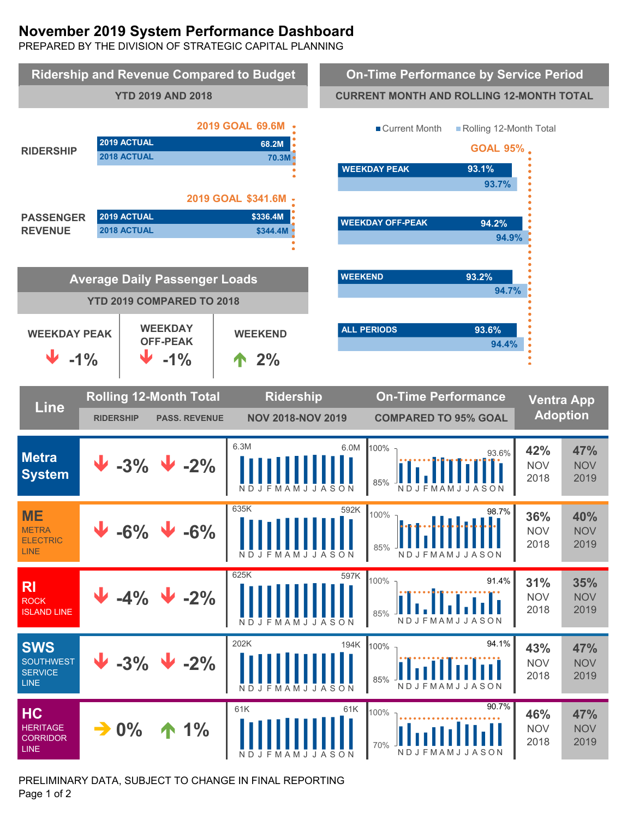# **November 2019 System Performance Dashboard**

PREPARED BY THE DIVISION OF STRATEGIC CAPITAL PLANNING



PRELIMINARY DATA, SUBJECT TO CHANGE IN FINAL REPORTING Page 1 of 2